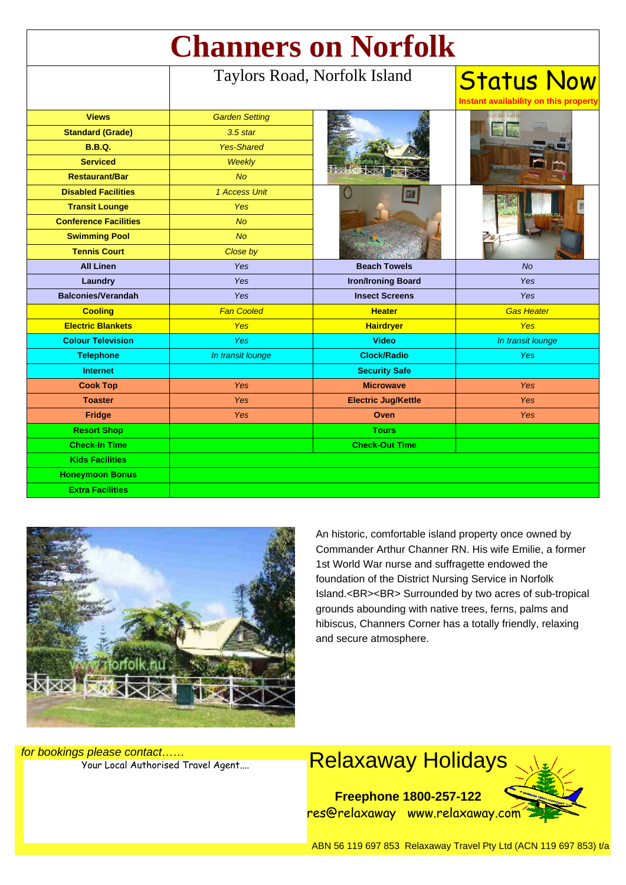| <b>Channers on Norfolk</b>   |                              |                            |                                                            |
|------------------------------|------------------------------|----------------------------|------------------------------------------------------------|
|                              | Taylors Road, Norfolk Island |                            | <b>Status Now</b><br>Instant availability on this property |
| <b>Views</b>                 | <b>Garden Setting</b>        |                            |                                                            |
| <b>Standard (Grade)</b>      | 3.5 star                     |                            |                                                            |
| <b>B.B.Q.</b>                | <b>Yes-Shared</b>            |                            |                                                            |
| <b>Serviced</b>              | <b>Weekly</b>                |                            |                                                            |
| <b>Restaurant/Bar</b>        | No                           |                            |                                                            |
| <b>Disabled Facilities</b>   | 1 Access Unit                |                            |                                                            |
| <b>Transit Lounge</b>        | Yes                          |                            |                                                            |
| <b>Conference Facilities</b> | <b>No</b>                    |                            |                                                            |
| <b>Swimming Pool</b>         | No                           |                            |                                                            |
| <b>Tennis Court</b>          | Close by                     |                            |                                                            |
| <b>All Linen</b>             | <b>Yes</b>                   | <b>Beach Towels</b>        | No                                                         |
| Laundry                      | Yes                          | <b>Iron/Ironing Board</b>  | Yes                                                        |
| <b>Balconies/Verandah</b>    | <b>Yes</b>                   | <b>Insect Screens</b>      | Yes                                                        |
| <b>Cooling</b>               | <b>Fan Cooled</b>            | <b>Heater</b>              | <b>Gas Heater</b>                                          |
| <b>Electric Blankets</b>     | Yes                          | <b>Hairdryer</b>           | <b>Yes</b>                                                 |
| <b>Colour Television</b>     | Yes                          | <b>Video</b>               | In transit lounge                                          |
| <b>Telephone</b>             | In transit lounge            | <b>Clock/Radio</b>         | <b>Yes</b>                                                 |
| <b>Internet</b>              |                              | <b>Security Safe</b>       |                                                            |
| <b>Cook Top</b>              | Yes                          | <b>Microwave</b>           | <b>Yes</b>                                                 |
| <b>Toaster</b>               | Yes                          | <b>Electric Jug/Kettle</b> | Yes                                                        |
| <b>Fridge</b>                | Yes                          | Oven                       | <b>Yes</b>                                                 |
| <b>Resort Shop</b>           |                              | <b>Tours</b>               |                                                            |
| <b>Check-In Time</b>         |                              | <b>Check-Out Time</b>      |                                                            |
| <b>Kids Facilities</b>       |                              |                            |                                                            |
| <b>Honeymoon Bonus</b>       |                              |                            |                                                            |
| <b>Extra Facilities</b>      |                              |                            |                                                            |



An historic, comfortable island property once owned by Commander Arthur Channer RN. His wife Emilie, a former 1st World War nurse and suffragette endowed the foundation of the District Nursing Service in Norfolk Island.<BR><BR> Surrounded by two acres of sub-tropical grounds abounding with native trees, ferns, palms and hibiscus, Channers Corner has a totally friendly, relaxing and secure atmosphere.

for bookings please contact……